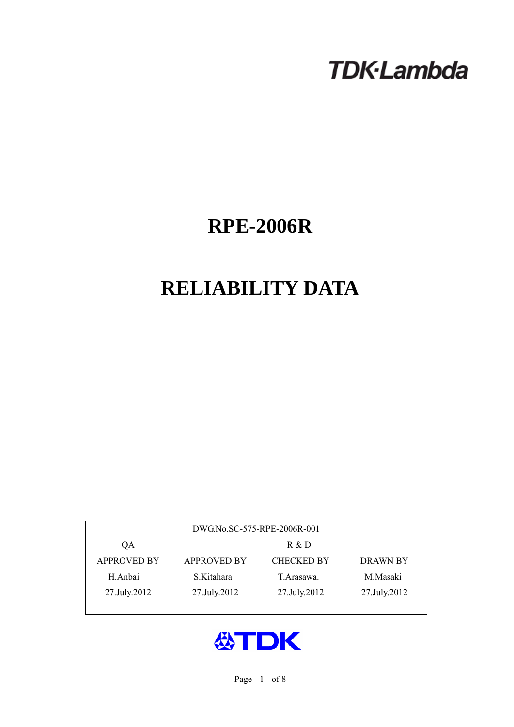# **TDK-Lambda**

## **RPE-2006R**

## **RELIABILITY DATA**

| DWG.No.SC-575-RPE-2006R-001 |                                                            |              |              |  |  |  |
|-----------------------------|------------------------------------------------------------|--------------|--------------|--|--|--|
| QA                          | R & D                                                      |              |              |  |  |  |
| <b>APPROVED BY</b>          | <b>CHECKED BY</b><br><b>APPROVED BY</b><br><b>DRAWN BY</b> |              |              |  |  |  |
| H.Anbai                     | S.Kitahara                                                 | T. Arasawa.  | M.Masaki     |  |  |  |
| 27.July.2012                | 27.July.2012                                               | 27.July.2012 | 27.July.2012 |  |  |  |
|                             |                                                            |              |              |  |  |  |

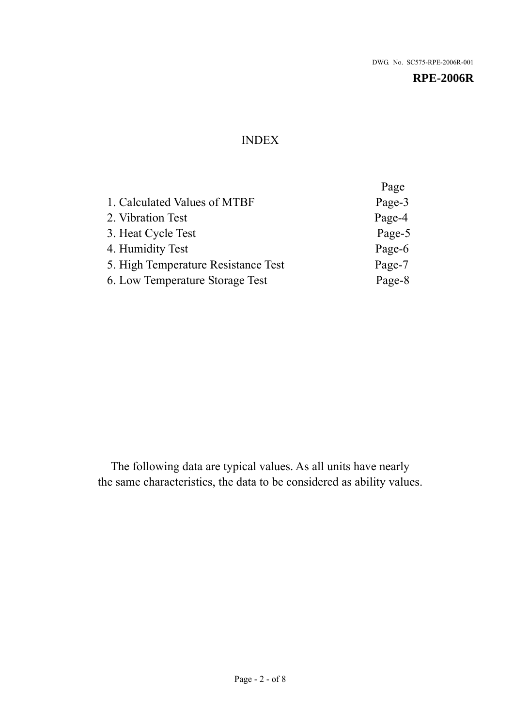## INDEX

|                                     | Page   |
|-------------------------------------|--------|
| 1. Calculated Values of MTBF        | Page-3 |
| 2. Vibration Test                   | Page-4 |
| 3. Heat Cycle Test                  | Page-5 |
| 4. Humidity Test                    | Page-6 |
| 5. High Temperature Resistance Test | Page-7 |
| 6. Low Temperature Storage Test     | Page-8 |
|                                     |        |

The following data are typical values. As all units have nearly the same characteristics, the data to be considered as ability values.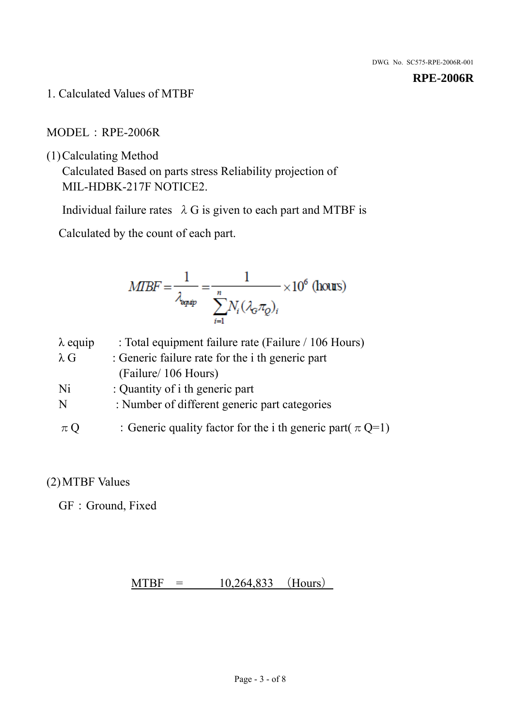1. Calculated Values of MTBF

## MODEL:RPE-2006R

(1)Calculating Method

Calculated Based on parts stress Reliability projection of MIL-HDBK-217F NOTICE2.

Individual failure rates  $\lambda$  G is given to each part and MTBF is

Calculated by the count of each part.

$$
MIBF = \frac{1}{\lambda_{\text{expap}}} = \frac{1}{\sum_{i=1}^{n} N_i (\lambda_{\text{G}} \pi_Q)_i} \times 10^6 \text{ (hours)}
$$

| $\lambda$ equip | : Total equipment failure rate (Failure / 106 Hours)            |
|-----------------|-----------------------------------------------------------------|
| $\lambda$ G     | : Generic failure rate for the <i>i</i> th generic part         |
|                 | (Failure/ 106 Hours)                                            |
| Ni              | : Quantity of i th generic part                                 |
| N               | : Number of different generic part categories                   |
| $\pi Q$         | : Generic quality factor for the i th generic part( $\pi Q=1$ ) |

## (2)MTBF Values

GF: Ground, Fixed

 $MTBF = 10,264,833$  (Hours)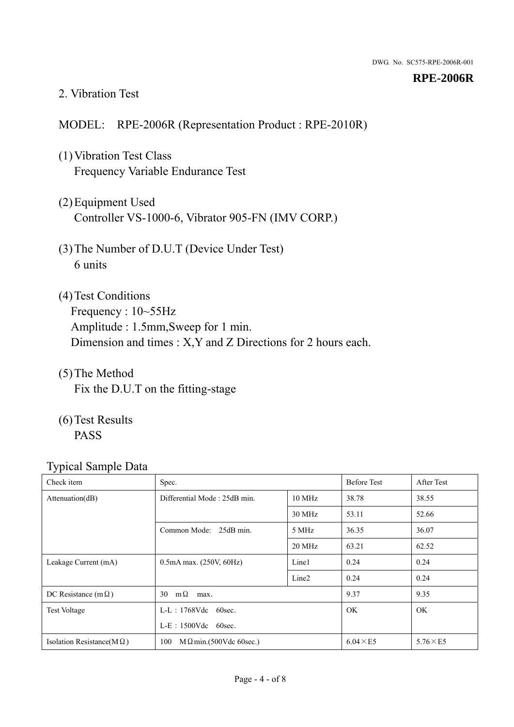#### 2. Vibration Test

## MODEL: RPE-2006R (Representation Product : RPE-2010R)

- (1)Vibration Test Class Frequency Variable Endurance Test
- (2)Equipment Used Controller VS-1000-6, Vibrator 905-FN (IMV CORP.)
- (3)The Number of D.U.T (Device Under Test) 6 units
- (4) Test Conditions Frequency : 10~55Hz Amplitude : 1.5mm,Sweep for 1 min. Dimension and times : X,Y and Z Directions for 2 hours each.
- (5)The Method Fix the D.U.T on the fitting-stage
- (6)Test Results PASS

| Check item                        | Spec.                                |                   | <b>Before Test</b> | After Test      |
|-----------------------------------|--------------------------------------|-------------------|--------------------|-----------------|
| Attenuation(dB)                   | Differential Mode: 25dB min.         |                   | 38.78              | 38.55           |
|                                   |                                      | 30 MHz            | 53.11              | 52.66           |
|                                   | Common Mode: 25dB min.               | 5 MHz             | 36.35              | 36.07           |
|                                   |                                      | 20 MHz            | 63.21              | 62.52           |
| Leakage Current (mA)              | $0.5mA$ max. $(250V, 60Hz)$          | Line1             | 0.24               | 0.24            |
|                                   |                                      | Line <sub>2</sub> | 0.24               | 0.24            |
| DC Resistance (m $\Omega$ )       | $m\Omega$<br>30<br>max.              |                   | 9.37               | 9.35            |
| <b>Test Voltage</b>               | $L-L$ : 1768Vdc 60sec.               |                   | <b>OK</b>          | <b>OK</b>       |
|                                   | $L-E$ : 1500Vdc 60sec.               |                   |                    |                 |
| Isolation Resistance( $M\Omega$ ) | 100<br>$M\Omega$ min.(500Vdc 60sec.) |                   | $6.04 \times E5$   | $5.76\times E5$ |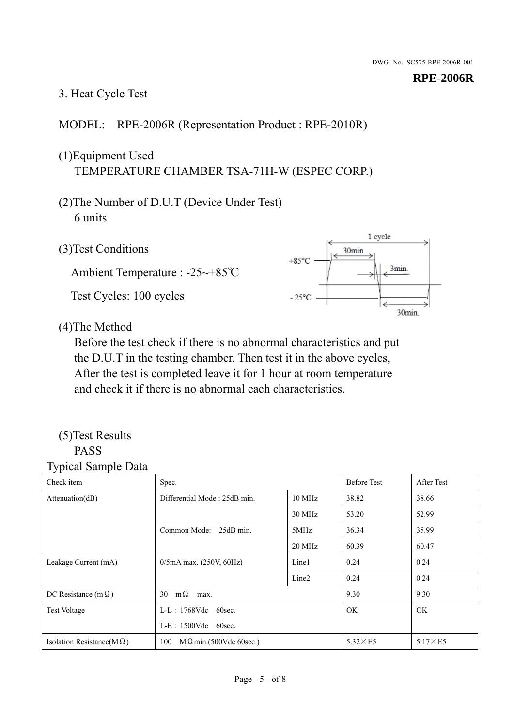## 3. Heat Cycle Test

## MODEL: RPE-2006R (Representation Product : RPE-2010R)

## (1)Equipment Used TEMPERATURE CHAMBER TSA-71H-W (ESPEC CORP.)

- (2)The Number of D.U.T (Device Under Test) 6 units
- 1 cycle (3)Test Conditions 30<sub>min</sub>  $+85^{\circ}$ C 3min. Ambient Temperature : -25~+85℃ Test Cycles: 100 cycles  $-25^{\circ}$ C 30min.

(4)The Method

Before the test check if there is no abnormal characteristics and put the D.U.T in the testing chamber. Then test it in the above cycles, After the test is completed leave it for 1 hour at room temperature and check it if there is no abnormal each characteristics.

#### (5)Test Results PASS

| ╯┸<br>Check item                  | Spec.                                  |                   | <b>Before Test</b> | After Test      |
|-----------------------------------|----------------------------------------|-------------------|--------------------|-----------------|
| Attention(dB)                     | Differential Mode: 25dB min.<br>10 MHz |                   | 38.82              | 38.66           |
|                                   |                                        | 30 MHz            | 53.20              | 52.99           |
|                                   | Common Mode: 25dB min.                 | 5MHz              | 36.34              | 35.99           |
|                                   |                                        | 20 MHz            | 60.39              | 60.47           |
| Leakage Current (mA)              | $0/5$ mA max. (250V, 60Hz)             | Line1             | 0.24               | 0.24            |
|                                   |                                        | Line <sub>2</sub> | 0.24               | 0.24            |
| DC Resistance (m $\Omega$ )       | $m\Omega$<br>30<br>max.                |                   | 9.30               | 9.30            |
| <b>Test Voltage</b>               | $L-L$ : 1768Vdc 60sec.                 |                   | OK.                | OK.             |
|                                   | $L-E$ : 1500Vdc 60sec.                 |                   |                    |                 |
| Isolation Resistance(M $\Omega$ ) | 100<br>$M \Omega$ min.(500Vdc 60sec.)  |                   | $5.32\times E5$    | $5.17\times E5$ |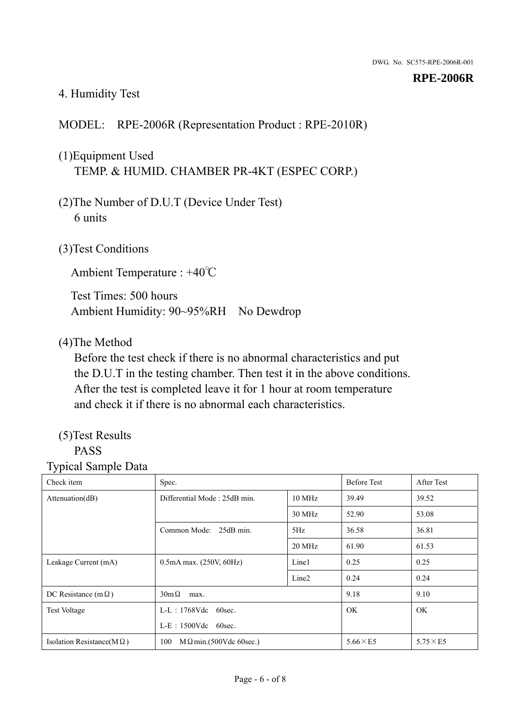## 4. Humidity Test

## MODEL: RPE-2006R (Representation Product : RPE-2010R)

## (1)Equipment Used TEMP. & HUMID. CHAMBER PR-4KT (ESPEC CORP.)

- (2)The Number of D.U.T (Device Under Test) 6 units
- (3)Test Conditions

Ambient Temperature : +40℃

Test Times: 500 hours Ambient Humidity: 90~95%RH No Dewdrop

#### (4)The Method

Before the test check if there is no abnormal characteristics and put the D.U.T in the testing chamber. Then test it in the above conditions. After the test is completed leave it for 1 hour at room temperature and check it if there is no abnormal each characteristics.

## (5)Test Results

## PASS

| . .<br>Check item                 | Spec.                                  |                   | <b>Before Test</b> | After Test      |
|-----------------------------------|----------------------------------------|-------------------|--------------------|-----------------|
| Attention(dB)                     | Differential Mode: 25dB min.<br>10 MHz |                   | 39.49              | 39.52           |
|                                   |                                        | 30 MHz            | 52.90              | 53.08           |
|                                   | Common Mode: 25dB min.                 | 5Hz               | 36.58              | 36.81           |
|                                   |                                        | 20 MHz            | 61.90              | 61.53           |
| Leakage Current (mA)              | $0.5mA$ max. $(250V, 60Hz)$            | Line1             | 0.25               | 0.25            |
|                                   |                                        | Line <sub>2</sub> | 0.24               | 0.24            |
| DC Resistance (m $\Omega$ )       | $30m\Omega$<br>max.                    |                   | 9.18               | 9.10            |
| <b>Test Voltage</b>               | $L-L$ : 1768Vdc 60sec.                 |                   | <b>OK</b>          | OK.             |
|                                   | $L-E$ : 1500Vdc 60sec.                 |                   |                    |                 |
| Isolation Resistance( $M\Omega$ ) | 100<br>$M \Omega$ min.(500Vdc 60sec.)  |                   | $5.66\times E5$    | $5.75\times E5$ |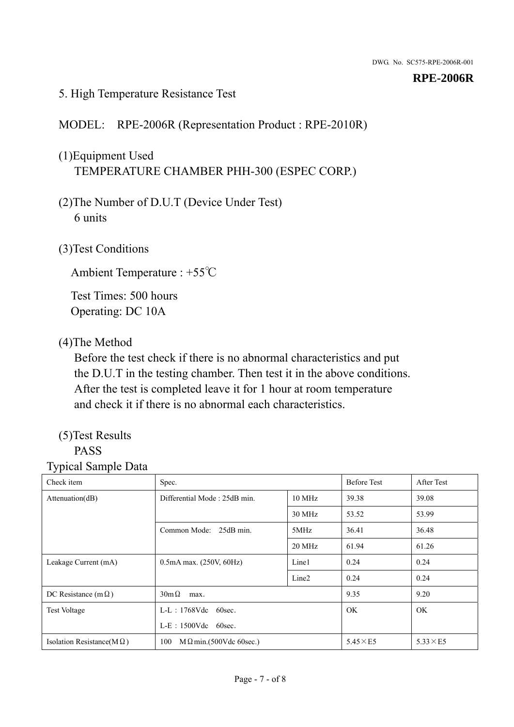## 5. High Temperature Resistance Test

## MODEL: RPE-2006R (Representation Product : RPE-2010R)

## (1)Equipment Used TEMPERATURE CHAMBER PHH-300 (ESPEC CORP.)

- (2)The Number of D.U.T (Device Under Test) 6 units
- (3)Test Conditions

Ambient Temperature : +55℃

Test Times: 500 hours Operating: DC 10A

#### (4)The Method

Before the test check if there is no abnormal characteristics and put the D.U.T in the testing chamber. Then test it in the above conditions. After the test is completed leave it for 1 hour at room temperature and check it if there is no abnormal each characteristics.

## (5)Test Results

## PASS

| ັ່<br>л.<br>Check item            | Spec.                                  |                   | <b>Before Test</b> | After Test      |
|-----------------------------------|----------------------------------------|-------------------|--------------------|-----------------|
| Attenuation(dB)                   | Differential Mode: 25dB min.<br>10 MHz |                   | 39.38              | 39.08           |
|                                   |                                        | 30 MHz            | 53.52              | 53.99           |
|                                   | Common Mode: 25dB min.                 | 5MHz              | 36.41              | 36.48           |
|                                   |                                        | 20 MHz            | 61.94              | 61.26           |
| Leakage Current (mA)              | $0.5mA$ max. $(250V, 60Hz)$            | Line1             | 0.24               | 0.24            |
|                                   |                                        | Line <sub>2</sub> | 0.24               | 0.24            |
| DC Resistance (m $\Omega$ )       | $30m\Omega$<br>max.                    |                   | 9.35               | 9.20            |
| <b>Test Voltage</b>               | $L-L$ : 1768Vdc 60sec.                 |                   | OK.                | OK.             |
|                                   | L-E: 1500Vdc 60sec.                    |                   |                    |                 |
| Isolation Resistance(M $\Omega$ ) | $M \Omega$ min.(500Vdc 60sec.)<br>100  |                   | $5.45\times E5$    | $5.33\times E5$ |